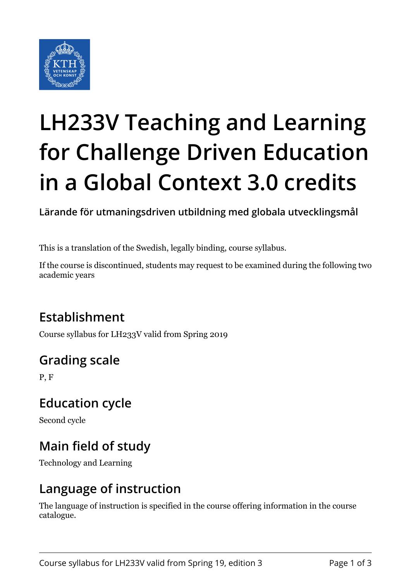

# **LH233V Teaching and Learning for Challenge Driven Education in a Global Context 3.0 credits**

**Lärande för utmaningsdriven utbildning med globala utvecklingsmål**

This is a translation of the Swedish, legally binding, course syllabus.

If the course is discontinued, students may request to be examined during the following two academic years

## **Establishment**

Course syllabus for LH233V valid from Spring 2019

# **Grading scale**

P, F

#### **Education cycle**

Second cycle

# **Main field of study**

Technology and Learning

#### **Language of instruction**

The language of instruction is specified in the course offering information in the course catalogue.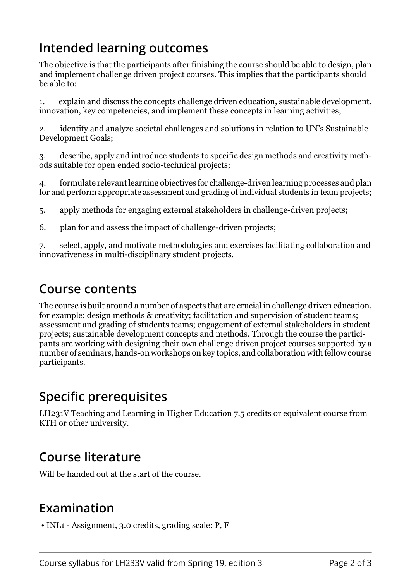## **Intended learning outcomes**

The objective is that the participants after finishing the course should be able to design, plan and implement challenge driven project courses. This implies that the participants should be able to:

1. explain and discuss the concepts challenge driven education, sustainable development, innovation, key competencies, and implement these concepts in learning activities;

2. identify and analyze societal challenges and solutions in relation to UN's Sustainable Development Goals;

3. describe, apply and introduce students to specific design methods and creativity methods suitable for open ended socio-technical projects;

4. formulate relevant learning objectives for challenge-driven learning processes and plan for and perform appropriate assessment and grading of individual students in team projects;

5. apply methods for engaging external stakeholders in challenge-driven projects;

6. plan for and assess the impact of challenge-driven projects;

7. select, apply, and motivate methodologies and exercises facilitating collaboration and innovativeness in multi-disciplinary student projects.

#### **Course contents**

The course is built around a number of aspects that are crucial in challenge driven education, for example: design methods & creativity; facilitation and supervision of student teams; assessment and grading of students teams; engagement of external stakeholders in student projects; sustainable development concepts and methods. Through the course the participants are working with designing their own challenge driven project courses supported by a number of seminars, hands-on workshops on key topics, and collaboration with fellow course participants.

#### **Specific prerequisites**

LH231V Teaching and Learning in Higher Education 7.5 credits or equivalent course from KTH or other university.

## **Course literature**

Will be handed out at the start of the course.

## **Examination**

• INL1 - Assignment, 3.0 credits, grading scale: P, F